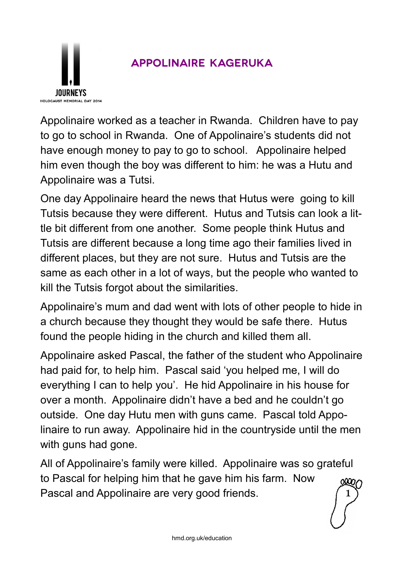

## **Appolinaire Kageruka**

Appolinaire worked as a teacher in Rwanda. Children have to pay to go to school in Rwanda. One of Appolinaire's students did not have enough money to pay to go to school. Appolinaire helped him even though the boy was different to him: he was a Hutu and Appolinaire was a Tutsi.

One day Appolinaire heard the news that Hutus were going to kill Tutsis because they were different. Hutus and Tutsis can look a little bit different from one another. Some people think Hutus and Tutsis are different because a long time ago their families lived in different places, but they are not sure. Hutus and Tutsis are the same as each other in a lot of ways, but the people who wanted to kill the Tutsis forgot about the similarities.

Appolinaire's mum and dad went with lots of other people to hide in a church because they thought they would be safe there. Hutus found the people hiding in the church and killed them all.

Appolinaire asked Pascal, the father of the student who Appolinaire had paid for, to help him. Pascal said 'you helped me, I will do everything I can to help you'. He hid Appolinaire in his house for over a month. Appolinaire didn't have a bed and he couldn't go outside. One day Hutu men with guns came. Pascal told Appolinaire to run away. Appolinaire hid in the countryside until the men with guns had gone.

All of Appolinaire's family were killed. Appolinaire was so grateful to Pascal for helping him that he gave him his farm. Now Pascal and Appolinaire are very good friends. 1